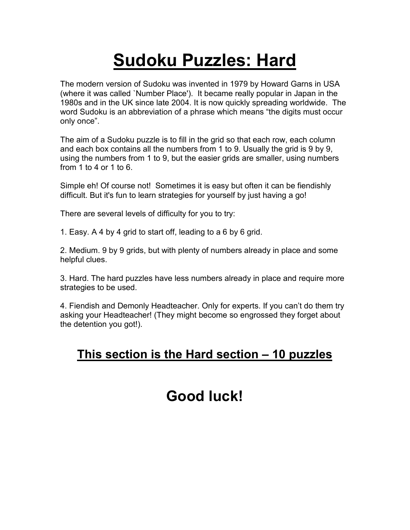# **Sudoku Puzzles: Hard**

The modern version of Sudoku was invented in 1979 by Howard Garns in USA (where it was called `Number Place'). It became really popular in Japan in the 1980s and in the UK since late 2004. It is now quickly spreading worldwide. The word Sudoku is an abbreviation of a phrase which means "the digits must occur only once".

The aim of a Sudoku puzzle is to fill in the grid so that each row, each column and each box contains all the numbers from 1 to 9. Usually the grid is 9 by 9, using the numbers from 1 to 9, but the easier grids are smaller, using numbers from 1 to 4 or 1 to 6.

Simple eh! Of course not! Sometimes it is easy but often it can be fiendishly difficult. But it's fun to learn strategies for yourself by just having a go!

There are several levels of difficulty for you to try:

1. Easy. A 4 by 4 grid to start off, leading to a 6 by 6 grid.

2. Medium. 9 by 9 grids, but with plenty of numbers already in place and some helpful clues.

3. Hard. The hard puzzles have less numbers already in place and require more strategies to be used.

4. Fiendish and Demonly Headteacher. Only for experts. If you can't do them try asking your Headteacher! (They might become so engrossed they forget about the detention you got!).

### **This section is the Hard section – 10 puzzles**

## **Good luck!**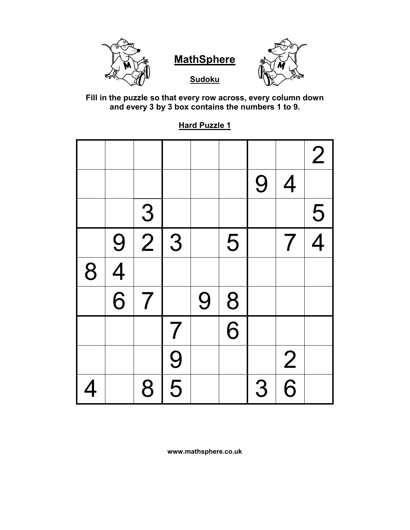



**Sudoku** 

**Fill in the puzzle so that every row across, every column down and every 3 by 3 box contains the numbers 1 to 9.**

**Hard Puzzle 1**

|                          |                |                |                |   |                |   |                          | $\overline{2}$ |
|--------------------------|----------------|----------------|----------------|---|----------------|---|--------------------------|----------------|
|                          |                |                |                |   |                | 9 | $\overline{4}$           |                |
|                          |                | $\overline{3}$ |                |   |                |   |                          | $\frac{5}{4}$  |
|                          | 9              | $\overline{2}$ | 3              |   | 5              |   | $\overline{\mathcal{I}}$ |                |
| 8                        | $\overline{4}$ |                |                |   |                |   |                          |                |
|                          | $\overline{6}$ | $\overline{7}$ |                | 9 | 8              |   |                          |                |
|                          |                |                | $\overline{7}$ |   | $\overline{6}$ |   |                          |                |
|                          |                |                | $\frac{9}{5}$  |   |                |   | $\frac{2}{6}$            |                |
| $\overline{\mathcal{A}}$ |                | 8              |                |   |                | 3 |                          |                |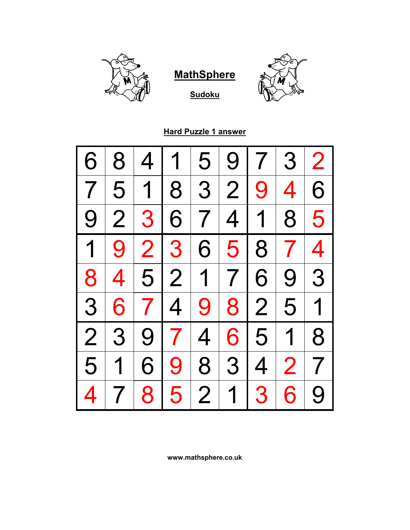

**Sudoku**



**Hard Puzzle 1 answer**

| 6                       | 8                       | $\overline{4}$ | 1              | 5              | 9              | 7 <sup>1</sup>   | 3              | $\overline{2}$          |
|-------------------------|-------------------------|----------------|----------------|----------------|----------------|------------------|----------------|-------------------------|
| 7                       | 5                       | $\overline{1}$ | 8              |                | 3 2            | 9<br>$\mathsf I$ | 4              | 6                       |
| 9                       | $\overline{2}$          | 3              | 6              | 7 <sup>1</sup> | 4              | 1 <sup>1</sup>   | 8 <sup>1</sup> | 5                       |
| $\overline{\mathbf{1}}$ | 9 <sup>1</sup>          |                | 2 3            | 6              | 5 <sup>1</sup> | 8                | 7 <sup>1</sup> | $\overline{\mathbf{4}}$ |
| 8                       | $\overline{\mathbf{4}}$ |                |                |                | 5 2 1 7        | 6                | 9 <sup>1</sup> | 3                       |
| 3                       | 6                       |                | 7 4            | 9 <sup>1</sup> |                | 8 2              | 5 <sup>1</sup> | 1                       |
| $\overline{2}$          | 3                       | 9              | 7 <sup>1</sup> | $\overline{4}$ | 6              | 5 <sup>1</sup>   | $\overline{1}$ | 8                       |
| 5                       | 1                       | 6              | 9              | 8              | 3 <sup>1</sup> | $\overline{4}$   | 2 <sup>1</sup> | $\overline{7}$          |
| 4                       |                         | 8              | 5              | $\overline{2}$ | $\overline{1}$ | 3                | 6              | 9                       |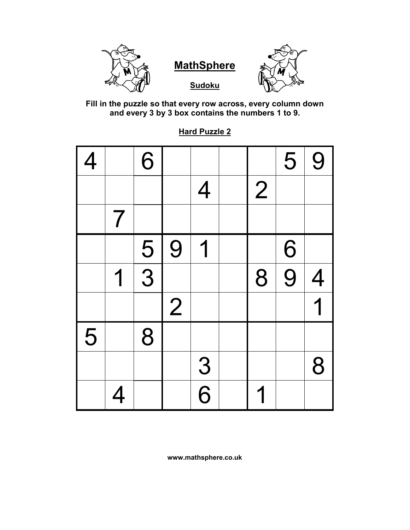



**Sudoku** 



**Fill in the puzzle so that every row across, every column down and every 3 by 3 box contains the numbers 1 to 9.**

**Hard Puzzle 2**

| $\overline{4}$ |                          | 6             |                |                |                | 5 | 9              |
|----------------|--------------------------|---------------|----------------|----------------|----------------|---|----------------|
|                |                          |               |                | $\overline{4}$ | $\overline{2}$ |   |                |
|                | $\overline{\mathcal{I}}$ |               |                |                |                |   |                |
|                |                          |               | 9              | 1              |                | 6 |                |
|                | 1                        | $\frac{5}{3}$ |                |                | 8              | 9 | $\overline{4}$ |
|                |                          |               | $\overline{2}$ |                |                |   | 1              |
| 5              |                          | 8             |                |                |                |   |                |
|                |                          |               |                | $\frac{3}{6}$  |                |   | 8              |
|                | 4                        |               |                |                |                |   |                |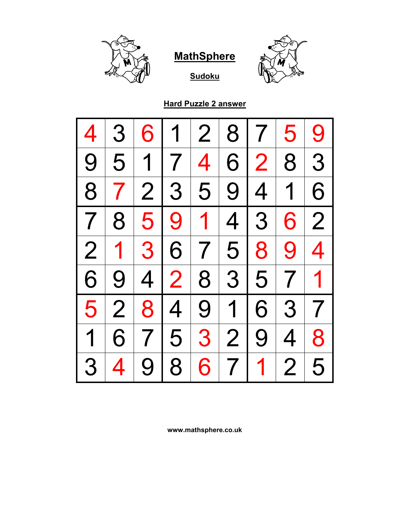

**Sudoku**



**Hard Puzzle 2 answer**

| 4              | 3              | 6   | 1              | 2 <sup>1</sup>  | 8 <sup>1</sup> | 7 <sup>1</sup> | 5              | 9              |
|----------------|----------------|-----|----------------|-----------------|----------------|----------------|----------------|----------------|
| 9              |                | 5 1 | 7              | $\vert 4 \vert$ | 6              | 2 <sup>1</sup> | 8 <sup>1</sup> | 3              |
| 8              | 7 <sup>1</sup> |     | 2 3 5          |                 |                | 9 4 1          |                | 6              |
| $\overline{7}$ | 8              |     | 5 9            |                 | 1 4 3          |                | 6              | $\overline{2}$ |
| $\overline{2}$ | 1 <sup>1</sup> |     | 3 6 7 5 8      |                 |                |                | 9 <sup>1</sup> | $\overline{4}$ |
| 6              | 9              |     | 4 2 8 3 5 7    |                 |                |                |                | 1              |
| 5              | $\overline{2}$ |     | 8 4 9 1 6      |                 |                |                |                | 3 7            |
| $\overline{1}$ | 6 <sup>1</sup> |     | 7 5            |                 | 3 2            | 9              | 4              | 8              |
| 3              | 4              | 9   | 8 <sup>1</sup> | 6 <sup>1</sup>  | 7              | $\mathbf{1}$   | 2 <sub>1</sub> | 5              |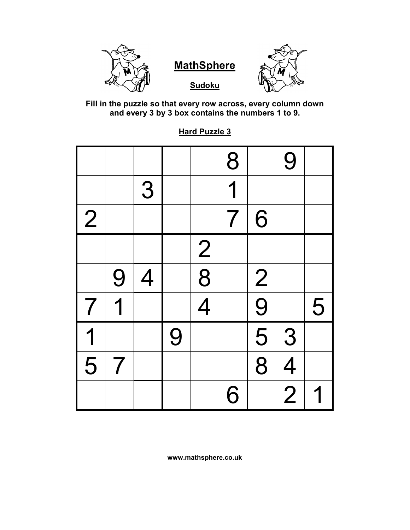

**Sudoku**



**Fill in the puzzle so that every row across, every column down and every 3 by 3 box contains the numbers 1 to 9.**

**Hard Puzzle 3**

|                         |                |                |   |               | 8                        |                             | 9              |   |
|-------------------------|----------------|----------------|---|---------------|--------------------------|-----------------------------|----------------|---|
|                         |                | 3              |   |               | 1                        |                             |                |   |
| $\vert 2 \vert$         |                |                |   |               | $\overline{\mathcal{I}}$ | 6                           |                |   |
|                         |                |                |   |               |                          |                             |                |   |
|                         | 9              | $\overline{4}$ |   | $\frac{2}{8}$ |                          |                             |                |   |
| $\overline{7}$          | 1              |                |   |               |                          | $\frac{2}{9}$ $\frac{9}{8}$ |                | 5 |
| $\overline{\mathbf{1}}$ |                |                | 9 |               |                          |                             | 3              |   |
| $\overline{5}$          | $\overline{7}$ |                |   |               |                          |                             | $\overline{4}$ |   |
|                         |                |                |   |               | 6                        |                             | $\overline{2}$ |   |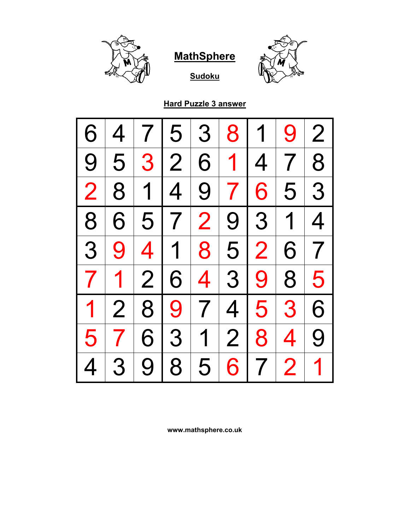

**Sudoku**



**Hard Puzzle 3 answer**

| 6              | 4              | 7 I            | $\overline{5}$ | 3               | 8              | 1              | 9              | $\overline{2}$ |
|----------------|----------------|----------------|----------------|-----------------|----------------|----------------|----------------|----------------|
| 9              | 5              | 3 <sup>1</sup> | 2 <sup>1</sup> | 6               | 1 <sup>1</sup> | $\overline{4}$ | 7 <sup>1</sup> | 8              |
| $\overline{2}$ | 8              | 1 <sup>1</sup> | $\overline{4}$ | 9 <sub>1</sub>  | 7 <sup>1</sup> | 6 <sup>1</sup> | 5 <sup>1</sup> | 3              |
| 8              | 6              |                | 5 7            | $\overline{2}$  |                | 9 3            | $\overline{1}$ | $\overline{4}$ |
| 3              | 9              |                | 4 1 8          |                 | $\overline{5}$ | $\overline{2}$ | 6              | $\overline{7}$ |
| $\overline{7}$ | $\mathbf 1$    | $\overline{2}$ | 6              | $\vert 4 \vert$ |                | 3 9            | 8              | 5              |
| $\mathbf 1$    | $\overline{2}$ | 8 <sup>1</sup> | 9 <sup>1</sup> | 7 <sup>1</sup>  |                | 4 5            | 3              | 6              |
| 5              |                | 6              | 3              | $\overline{1}$  | 2 <sup>1</sup> | 8              | $\overline{4}$ | 9              |
| 4              | 3              | 9              | 8              | 5               | 6              | $\overline{7}$ | $\overline{2}$ | 1              |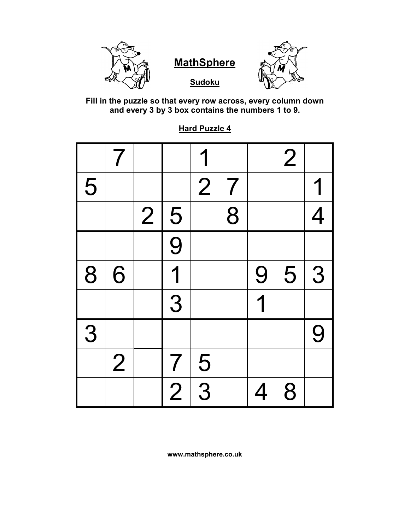

**Fill in the puzzle so that every row across, every column down and every 3 by 3 box contains the numbers 1 to 9.**

|   | $\overline{7}$ |                |                | 1              |                |                         | $\overline{2}$ |                |
|---|----------------|----------------|----------------|----------------|----------------|-------------------------|----------------|----------------|
| 5 |                |                |                | $\overline{2}$ | $\overline{7}$ |                         |                |                |
|   |                | $\overline{2}$ |                |                | $\overline{8}$ |                         |                | $\overline{4}$ |
|   |                |                | $\frac{5}{9}$  |                |                |                         |                |                |
| 8 | 6              |                | $\overline{1}$ |                |                | 9                       | 5              | 3              |
|   |                |                | $\overline{3}$ |                |                | $\overline{\mathbf{1}}$ |                |                |
| 3 |                |                |                |                |                |                         |                | 9              |
|   | $\overline{2}$ |                | $\overline{7}$ | $\frac{5}{3}$  |                |                         |                |                |
|   |                |                | $\overline{2}$ |                |                | 4                       | 8              |                |

**Hard Puzzle 4**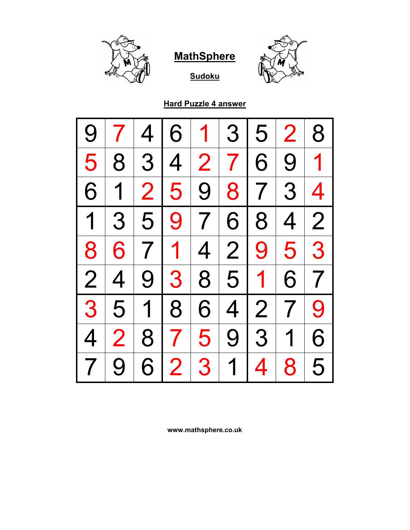

**Sudoku**



**Hard Puzzle 4 answer**

| 9                        |                | 4 <sub>1</sub> | 6 <sup>1</sup> | $\mathbf 1$     | 3              | 5              | $\overline{2}$ | 8                        |
|--------------------------|----------------|----------------|----------------|-----------------|----------------|----------------|----------------|--------------------------|
| 5                        | 8              |                | 3 4            |                 | 2 7 6          |                | 9 <sup>1</sup> | $\overline{\mathbf{1}}$  |
| 6                        | $\mathbf 1$    |                | 2 5            |                 | 9 8 7 3        |                |                | $\overline{\mathcal{A}}$ |
| $\overline{1}$           | 3              | 5 <sup>1</sup> | 9 <sup>1</sup> | 7               |                | $6 8$          | 4              | $\overline{2}$           |
| 8                        |                | $6 7 1 $       |                | $\vert 4 \vert$ | 2 <sup>1</sup> | 9              | 5 <sup>1</sup> | 3                        |
| $\overline{2}$           | $\overline{4}$ |                |                |                 | 9 3 8 5        | 1 <sup>1</sup> | 6              | $\overline{7}$           |
| 3 <sup>1</sup>           | 5 <sup>1</sup> |                | 1 8            | 6               |                | 4 2            | 7 <sup>1</sup> | 9                        |
| 4                        | $\overline{2}$ | 8              | 7 <sup>1</sup> | 5 <sup>1</sup>  |                | 9 3            | $\overline{1}$ | 6                        |
| $\overline{\mathcal{I}}$ | 9              | 6              | $\overline{2}$ | 3 <sup>1</sup>  | $\overline{1}$ | $\overline{4}$ | 8              | 5                        |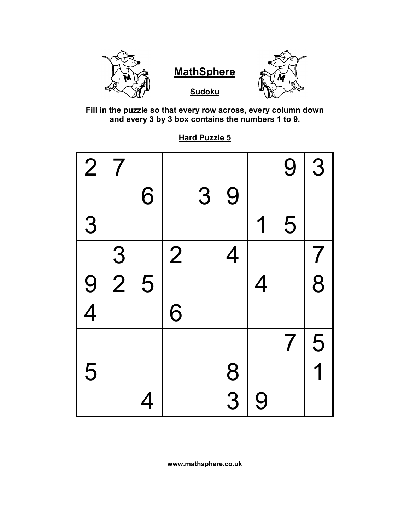



**Sudoku**



**Fill in the puzzle so that every row across, every column down and every 3 by 3 box contains the numbers 1 to 9.**

**Hard Puzzle 5**

| $\overline{2}$ | $\overline{\mathcal{I}}$ |   |                |   |                |                | 9                        | 3                       |
|----------------|--------------------------|---|----------------|---|----------------|----------------|--------------------------|-------------------------|
|                |                          | 6 |                | 3 | 9              |                |                          |                         |
| 3              |                          |   |                |   |                | 1              | 5                        |                         |
|                | $\frac{3}{2}$            |   | $\overline{2}$ |   | $\overline{4}$ |                |                          | $\overline{7}$          |
| $\frac{9}{4}$  |                          | 5 |                |   |                | $\overline{4}$ |                          | $\overline{8}$          |
|                |                          |   | 6              |   |                |                |                          |                         |
|                |                          |   |                |   |                |                | $\overline{\mathcal{I}}$ | 5                       |
| 5              |                          |   |                |   | $\frac{8}{3}$  |                |                          | $\overline{\mathbf{1}}$ |
|                |                          | 4 |                |   |                | 9              |                          |                         |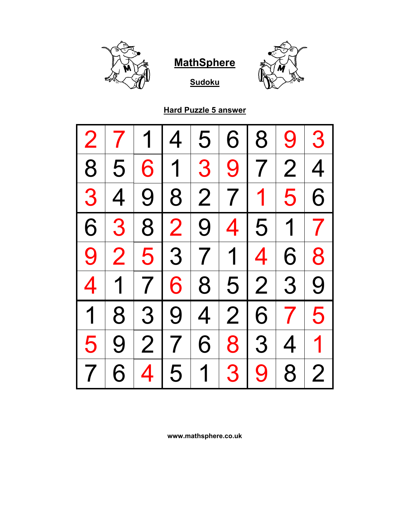



**Hard Puzzle 5 answer**

**Sudoku**

| $\overline{2}$          |                |   | $\overline{4}$ | 5              | 6              | 8   | 9              | 3              |
|-------------------------|----------------|---|----------------|----------------|----------------|-----|----------------|----------------|
| 18                      | 5 <sup>1</sup> | 6 |                |                | 1 3 9 7        |     | 2 <sup>1</sup> | $\overline{4}$ |
| 3                       | $\overline{4}$ |   |                |                | 9 8 2 7 1 5    |     |                | 6              |
| 6                       | 3 <sup>1</sup> |   | 8 2 9          |                |                |     | 4 5 1 7        |                |
| 9                       | $\overline{2}$ |   |                |                | 5 3 7 1 4      |     | 6 <sup>1</sup> | 8              |
| $\overline{\mathbf{4}}$ | $\overline{1}$ |   |                |                | 768523         |     |                | 9              |
| $\overline{1}$          | 8              |   | 3 9            |                | 4 2 6          |     | 7 <sup>1</sup> | 5              |
| 5                       | 9              | 2 | 7 <sup>1</sup> | 6 <sup>1</sup> |                | 8 3 | 4              | 1              |
|                         | 6              | 4 | 5 <sup>1</sup> | $\overline{1}$ | 3 <sup>1</sup> | 9   | 8              | $\overline{2}$ |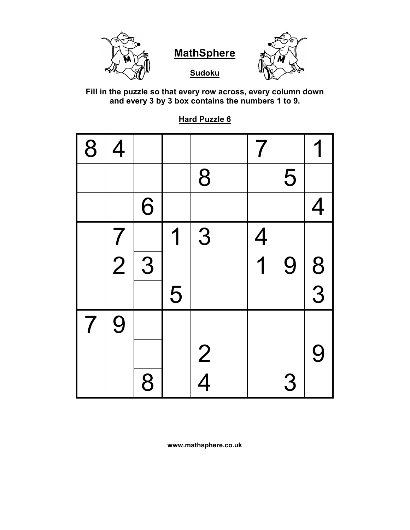

**Fill in the puzzle so that every row across, every column down and every 3 by 3 box contains the numbers 1 to 9.**

**Hard Puzzle 6**

| 8                        | $\overline{4}$ |   |   |               | $\overline{\mathcal{I}}$ |   |                |
|--------------------------|----------------|---|---|---------------|--------------------------|---|----------------|
|                          |                |   |   | 8             |                          | 5 |                |
|                          |                | 6 |   |               |                          |   | $\overline{4}$ |
|                          | $\overline{7}$ |   | 1 | 3             | $\overline{4}$           |   |                |
|                          | $\overline{2}$ | 3 |   |               | $\overline{\mathbf{1}}$  | 9 | 8              |
|                          |                |   | 5 |               |                          |   | $\overline{3}$ |
| $\overline{\mathcal{L}}$ | 9              |   |   |               |                          |   |                |
|                          |                |   |   | $\frac{2}{4}$ |                          |   | 9              |
|                          |                | 8 |   |               |                          | 3 |                |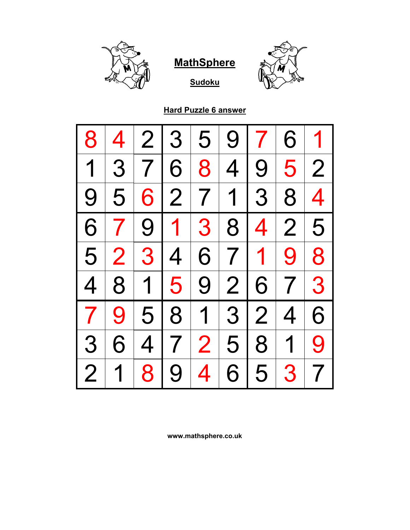



**Hard Puzzle 6 answer**

**Sudoku**

| 8              | 4              |       | 2 3       | $ 5\rangle$    | 9 | 7 <sup>1</sup> | 6              | $\overline{\mathbf{1}}$ |
|----------------|----------------|-------|-----------|----------------|---|----------------|----------------|-------------------------|
| $\overline{1}$ | 3 <sup>1</sup> |       | 7 6       | 8 <sup>1</sup> |   | 4 9            | 5 <sup>1</sup> | $\overline{2}$          |
| 9              | 5 <sup>1</sup> |       |           |                |   |                | 6 2 7 1 3 8    | $\overline{4}$          |
| 6              | 7 <sup>1</sup> |       | 9 1 3 8 4 |                |   |                | 2              | 5                       |
| 5 <sup>1</sup> | 2 <sup>1</sup> |       | 3 4       |                |   |                | 6 7 1 9        | 8                       |
| $\overline{4}$ |                | 8 1 5 |           |                |   |                | 9 2 6 7 3      |                         |
| $\overline{ }$ | 9              |       | 5 8 1 3 2 |                |   |                | $\overline{4}$ | 6                       |
| 3              | 6              |       | 4 7 2 5 8 |                |   |                | 1              | 9                       |
| $\overline{2}$ | 1              | 8     | 9         | 4 <sup>1</sup> | 6 | 5 <sup>1</sup> | 3              | $\overline{7}$          |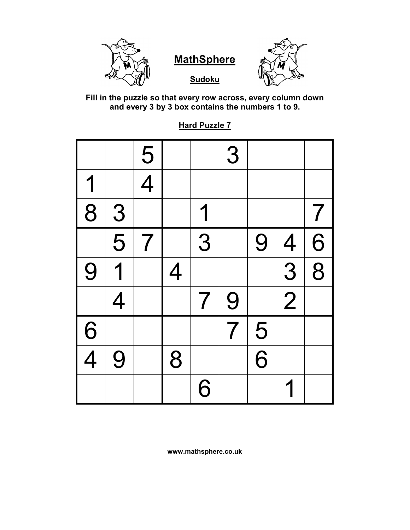

**Sudoku**



**Fill in the puzzle so that every row across, every column down and every 3 by 3 box contains the numbers 1 to 9.**

**Hard Puzzle 7**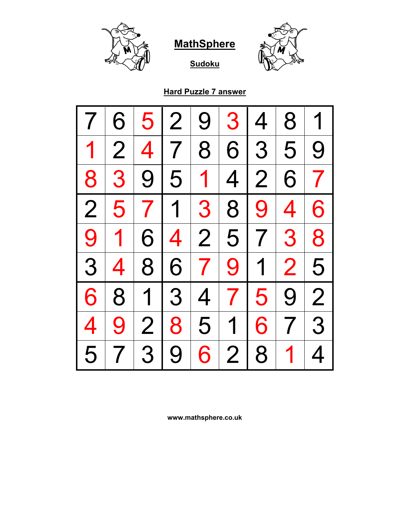

**Sudoku**



#### **Hard Puzzle 7 answer**

| 7              | 6              | 5              | $\overline{2}$ | 9              | 3 <sup>1</sup> | $\overline{4}$ | 8                        | 1                        |
|----------------|----------------|----------------|----------------|----------------|----------------|----------------|--------------------------|--------------------------|
| $\mathbf 1$    | $\overline{2}$ | $\overline{4}$ | $\overline{7}$ | 8              | 6              | 3              | 5                        | 9                        |
| 8              | 3              | 9 <sup>1</sup> | 5 <sup>1</sup> | $\mathbf 1$    | 4              | $\overline{2}$ | 6                        | $\overline{\phantom{a}}$ |
| $\overline{2}$ | 5              |                | 7 1            | 3              | 8              | 9              | $\overline{\mathcal{A}}$ | 6                        |
| 9              | $\mathbf 1$    | 6              | $\overline{4}$ |                | 2 5            | 7 <sup>1</sup> | 3                        | 8                        |
| 3              | 4              | 8 <sup>1</sup> | 6              | 7 <sup>1</sup> | 9 <sup>1</sup> | 1 <sub>1</sub> | $\overline{2}$           | 5                        |
| 6              | 8              | 1 <sup>1</sup> | 3 <sup>1</sup> | 4              | 7 <sup>1</sup> | 5              | 9                        | $\overline{2}$           |
| 4              | 9              | 2              | 8              | 5              | 1 <sup>1</sup> | 6              | 7 <sup>1</sup>           | 3                        |
| 5              | 7              | 3              | 9              | 6              | $\overline{2}$ | 8              | $\mathbf 1$              | $\overline{4}$           |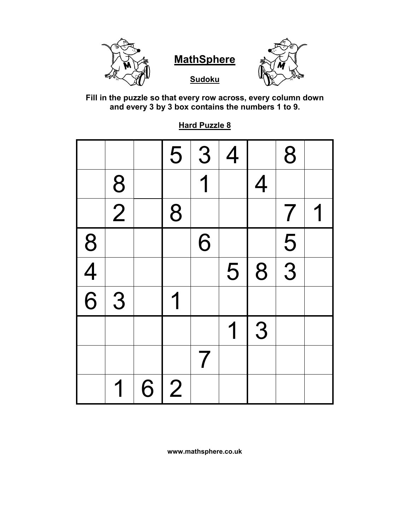

**Sudoku**



**Fill in the puzzle so that every row across, every column down and every 3 by 3 box contains the numbers 1 to 9.**

|               |                |   | 5              | 3 | $\overline{4}$ |                | 8                        |  |
|---------------|----------------|---|----------------|---|----------------|----------------|--------------------------|--|
|               | 8              |   |                | 1 |                | $\overline{4}$ |                          |  |
|               | $\overline{2}$ |   | 8              |   |                |                | $\overline{\mathcal{I}}$ |  |
|               |                |   |                | 6 |                |                | $\frac{5}{3}$            |  |
| $\frac{8}{4}$ |                |   |                |   | 5              | 8              |                          |  |
|               | 3              |   |                |   |                |                |                          |  |
|               |                |   |                |   | 1              | 3              |                          |  |
|               |                |   |                | 7 |                |                |                          |  |
|               | 1              | 6 | $\overline{2}$ |   |                |                |                          |  |

**Hard Puzzle 8**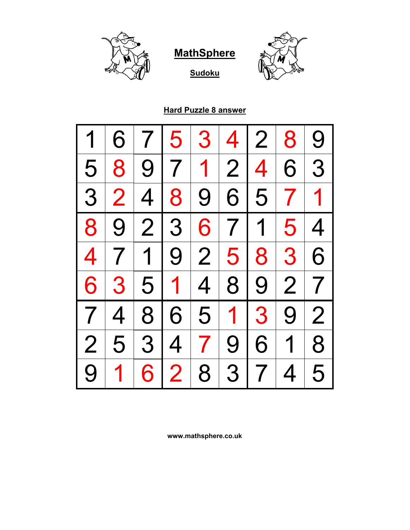



**Sudoku**

#### **Hard Puzzle 8 answer**

|                          | 6              |                | 5                                          | 3            | 4 <sub>1</sub> | 2 <sup>1</sup>     | 8              | 9              |
|--------------------------|----------------|----------------|--------------------------------------------|--------------|----------------|--------------------|----------------|----------------|
| 5 <sub>1</sub>           | 8              |                | 9 7 1 2                                    |              |                | $\left  4 \right $ | 6              | 3              |
| 3 <sup>1</sup>           | $\overline{2}$ | $\overline{4}$ | 8                                          |              | 9 6            |                    | $5 7 1$        |                |
| 8                        | 9 <sup>1</sup> | $\overline{2}$ | 3 <sup>1</sup><br>$\overline{\phantom{a}}$ |              | 6 7 1          |                    | 5 <sup>1</sup> | 4 <sup>1</sup> |
| $\overline{4}$           |                |                | 7 1 9 2 5                                  |              |                | 8 <sup>1</sup>     | 3 <sup>1</sup> | 6              |
| 6                        | 3              |                | 5 1 4                                      |              | 8 <sup>1</sup> | 9 <sup>1</sup>     | 2              | 7 <sup>1</sup> |
| $\overline{\phantom{a}}$ | $\overline{4}$ |                | 8 6                                        |              | 5 1 3          |                    | 9 <sup>1</sup> | $\overline{2}$ |
| $\overline{2}$           | 5              |                | 3 4                                        | $\mathbf{7}$ | 9 <sup>1</sup> | 6 <sup>1</sup>     | 1 <sup>1</sup> | 8              |
| 9                        | 1              | 6              | $\overline{2}$                             | 8            | 3              | $7\phantom{.}$     | $\overline{4}$ | 5              |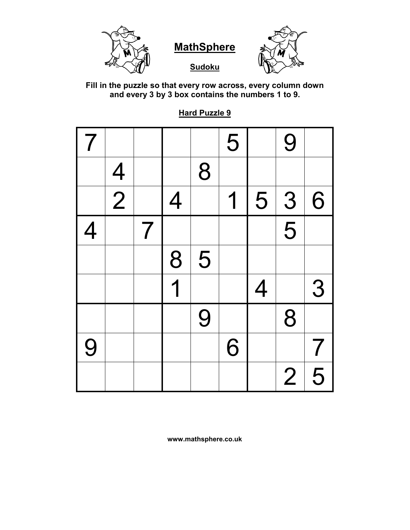

**Sudoku**



**Fill in the puzzle so that every row across, every column down and every 3 by 3 box contains the numbers 1 to 9.**

**Hard Puzzle 9**

| $\overline{\prime}$ |               |                |                |   | 5 |                | 9                         |                |
|---------------------|---------------|----------------|----------------|---|---|----------------|---------------------------|----------------|
|                     |               |                |                | 8 |   |                |                           |                |
|                     | $\frac{4}{2}$ |                | $\overline{4}$ |   | 1 | 5              | $\overline{3}$            | 6              |
| 4                   |               | $\overline{7}$ |                |   |   |                | $\overline{\overline{5}}$ |                |
|                     |               |                | 8              | 5 |   |                |                           |                |
|                     |               |                | 1              |   |   | $\overline{4}$ |                           | 3              |
|                     |               |                |                | 9 |   |                | 8                         |                |
| 9                   |               |                |                |   | 6 |                |                           | $\overline{7}$ |
|                     |               |                |                |   |   |                | $\overline{2}$            | 5              |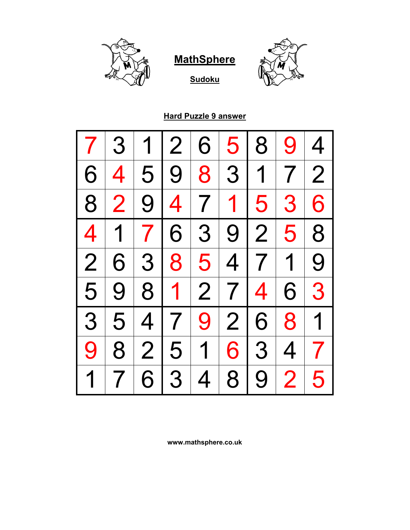



**Sudoku**

#### **Hard Puzzle 9 answer**

|                | 3                        | 1 | $\overline{2}$ | 6              | 5              | 8              | 9              | $\overline{4}$           |
|----------------|--------------------------|---|----------------|----------------|----------------|----------------|----------------|--------------------------|
| 6              | $\overline{4}$           |   | 5 9 8 3 1 7    |                |                |                |                | $\overline{2}$           |
| 8              | $\overline{2}$           |   | 9 4 7 1 5      |                |                |                | 3 <sup>1</sup> | 6                        |
| 4 <sup>1</sup> | 1 <sup>1</sup>           |   | 7 6            | 3 <sup>1</sup> | 9 2            |                | 5 <sup>1</sup> | 8                        |
| $\overline{2}$ | 6                        |   | 3 8            | 5 <sup>1</sup> |                |                | 4 7 1          | 9                        |
| 5              | 9 <sup>1</sup>           |   | 8 1 2 7 4      |                |                |                | 6 <sup>1</sup> | 3                        |
| 3              | 5 <sup>1</sup>           |   | 4 7            |                | 9 2 6          |                | 8 <sup>1</sup> | $\overline{1}$           |
| 9              | 8                        |   | 2 5            | 1 <sup>1</sup> | 6              | 3 <sup>1</sup> | $\overline{4}$ | $\overline{\phantom{a}}$ |
| $\overline{1}$ | $\overline{\mathcal{I}}$ | 6 | 3              | 4              | 8 <sup>1</sup> | 9 <sup>1</sup> | $\overline{2}$ | 5                        |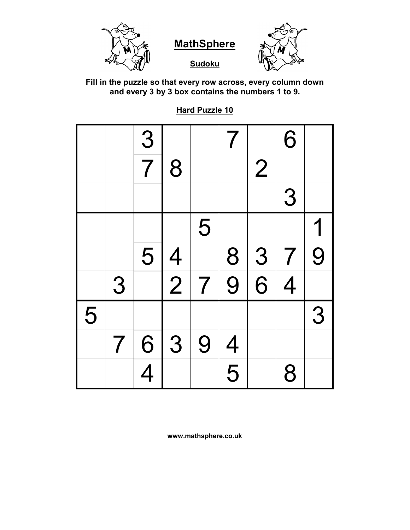

**Sudoku**



**Fill in the puzzle so that every row across, every column down and every 3 by 3 box contains the numbers 1 to 9.**

**Hard Puzzle 10**

|   |                          | 3              |                |                | $\overline{\mathcal{I}}$ |                | 6              |   |
|---|--------------------------|----------------|----------------|----------------|--------------------------|----------------|----------------|---|
|   |                          | $\overline{7}$ | 8              |                |                          | $\overline{2}$ |                |   |
|   |                          |                |                |                |                          |                | 3              |   |
|   |                          |                |                | 5              |                          |                |                |   |
|   |                          | 5              | $\overline{4}$ |                | 8                        | $\sqrt{3}$     | $\overline{7}$ | 9 |
|   | 3                        |                | $\overline{2}$ | $\overline{7}$ | $\overline{9}$           | $\overline{6}$ | $\overline{4}$ |   |
| 5 |                          |                |                |                |                          |                |                | 3 |
|   | $\overline{\mathcal{I}}$ | 6              | 3              | 9              | $\overline{4}$           |                |                |   |
|   |                          | $\overline{4}$ |                |                | $\overline{5}$           |                | 8              |   |